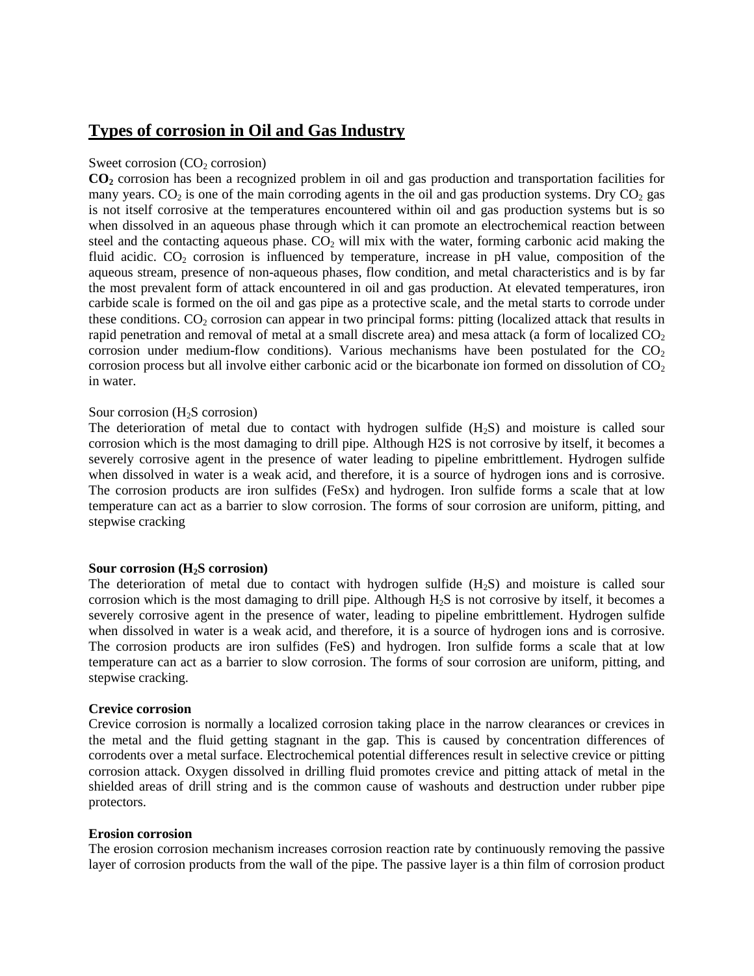## **Types of corrosion in Oil and Gas Industry**

#### Sweet corrosion  $(CO<sub>2</sub>$  corrosion)

**CO<sup>2</sup>** corrosion has been a recognized problem in oil and gas production and transportation facilities for many years.  $CO<sub>2</sub>$  is one of the main corroding agents in the oil and gas production systems. Dry  $CO<sub>2</sub>$  gas is not itself corrosive at the temperatures encountered within oil and gas production systems but is so when dissolved in an aqueous phase through which it can promote an electrochemical reaction between steel and the contacting aqueous phase.  $CO<sub>2</sub>$  will mix with the water, forming carbonic acid making the fluid acidic.  $CO_2$  corrosion is influenced by temperature, increase in pH value, composition of the aqueous stream, presence of non-aqueous phases, flow condition, and metal characteristics and is by far the most prevalent form of attack encountered in oil and gas production. At elevated temperatures, iron carbide scale is formed on the oil and gas pipe as a protective scale, and the metal starts to corrode under these conditions.  $CO_2$  corrosion can appear in two principal forms: pitting (localized attack that results in rapid penetration and removal of metal at a small discrete area) and mesa attack (a form of localized  $CO<sub>2</sub>$ corrosion under medium-flow conditions). Various mechanisms have been postulated for the  $CO<sub>2</sub>$ corrosion process but all involve either carbonic acid or the bicarbonate ion formed on dissolution of  $CO<sub>2</sub>$ in water.

#### Sour corrosion  $(H<sub>2</sub>S$  corrosion)

The deterioration of metal due to contact with hydrogen sulfide  $(H<sub>2</sub>S)$  and moisture is called sour corrosion which is the most damaging to drill pipe. Although H2S is not corrosive by itself, it becomes a severely corrosive agent in the presence of water leading to pipeline embrittlement. Hydrogen sulfide when dissolved in water is a weak acid, and therefore, it is a source of hydrogen ions and is corrosive. The corrosion products are iron sulfides (FeSx) and hydrogen. Iron sulfide forms a scale that at low temperature can act as a barrier to slow corrosion. The forms of sour corrosion are uniform, pitting, and stepwise cracking

## **Sour corrosion (H2S corrosion)**

The deterioration of metal due to contact with hydrogen sulfide  $(H<sub>2</sub>S)$  and moisture is called sour corrosion which is the most damaging to drill pipe. Although  $H_2S$  is not corrosive by itself, it becomes a severely corrosive agent in the presence of water, leading to pipeline embrittlement. Hydrogen sulfide when dissolved in water is a weak acid, and therefore, it is a source of hydrogen ions and is corrosive. The corrosion products are iron sulfides (FeS) and hydrogen. Iron sulfide forms a scale that at low temperature can act as a barrier to slow corrosion. The forms of sour corrosion are uniform, pitting, and stepwise cracking.

#### **Crevice corrosion**

Crevice corrosion is normally a localized corrosion taking place in the narrow clearances or crevices in the metal and the fluid getting stagnant in the gap. This is caused by concentration differences of corrodents over a metal surface. Electrochemical potential differences result in selective crevice or pitting corrosion attack. Oxygen dissolved in drilling fluid promotes crevice and pitting attack of metal in the shielded areas of drill string and is the common cause of washouts and destruction under rubber pipe protectors.

## **Erosion corrosion**

The erosion corrosion mechanism increases corrosion reaction rate by continuously removing the passive layer of corrosion products from the wall of the pipe. The passive layer is a thin film of corrosion product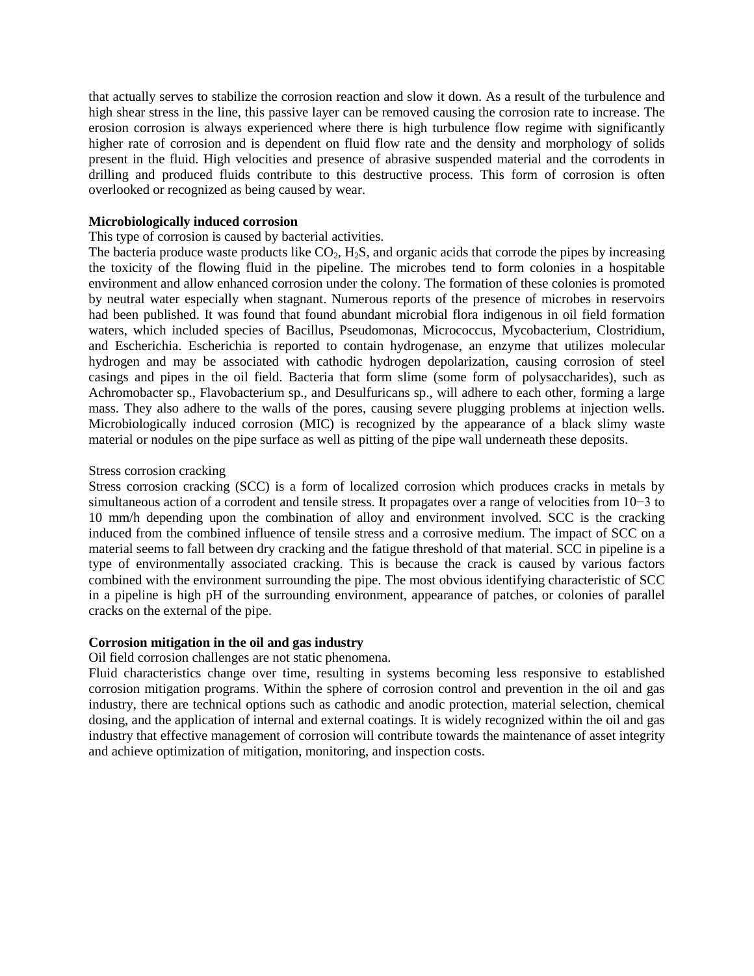that actually serves to stabilize the corrosion reaction and slow it down. As a result of the turbulence and high shear stress in the line, this passive layer can be removed causing the corrosion rate to increase. The erosion corrosion is always experienced where there is high turbulence flow regime with significantly higher rate of corrosion and is dependent on fluid flow rate and the density and morphology of solids present in the fluid. High velocities and presence of abrasive suspended material and the corrodents in drilling and produced fluids contribute to this destructive process. This form of corrosion is often overlooked or recognized as being caused by wear.

## **Microbiologically induced corrosion**

This type of corrosion is caused by bacterial activities.

The bacteria produce waste products like  $CO<sub>2</sub>$ , H<sub>2</sub>S, and organic acids that corrode the pipes by increasing the toxicity of the flowing fluid in the pipeline. The microbes tend to form colonies in a hospitable environment and allow enhanced corrosion under the colony. The formation of these colonies is promoted by neutral water especially when stagnant. Numerous reports of the presence of microbes in reservoirs had been published. It was found that found abundant microbial flora indigenous in oil field formation waters, which included species of Bacillus, Pseudomonas, Micrococcus, Mycobacterium, Clostridium, and Escherichia. Escherichia is reported to contain hydrogenase, an enzyme that utilizes molecular hydrogen and may be associated with cathodic hydrogen depolarization, causing corrosion of steel casings and pipes in the oil field. Bacteria that form slime (some form of polysaccharides), such as Achromobacter sp., Flavobacterium sp., and Desulfuricans sp., will adhere to each other, forming a large mass. They also adhere to the walls of the pores, causing severe plugging problems at injection wells. Microbiologically induced corrosion (MIC) is recognized by the appearance of a black slimy waste material or nodules on the pipe surface as well as pitting of the pipe wall underneath these deposits.

## Stress corrosion cracking

Stress corrosion cracking (SCC) is a form of localized corrosion which produces cracks in metals by simultaneous action of a corrodent and tensile stress. It propagates over a range of velocities from 10−3 to 10 mm/h depending upon the combination of alloy and environment involved. SCC is the cracking induced from the combined influence of tensile stress and a corrosive medium. The impact of SCC on a material seems to fall between dry cracking and the fatigue threshold of that material. SCC in pipeline is a type of environmentally associated cracking. This is because the crack is caused by various factors combined with the environment surrounding the pipe. The most obvious identifying characteristic of SCC in a pipeline is high pH of the surrounding environment, appearance of patches, or colonies of parallel cracks on the external of the pipe.

## **Corrosion mitigation in the oil and gas industry**

Oil field corrosion challenges are not static phenomena.

Fluid characteristics change over time, resulting in systems becoming less responsive to established corrosion mitigation programs. Within the sphere of corrosion control and prevention in the oil and gas industry, there are technical options such as cathodic and anodic protection, material selection, chemical dosing, and the application of internal and external coatings. It is widely recognized within the oil and gas industry that effective management of corrosion will contribute towards the maintenance of asset integrity and achieve optimization of mitigation, monitoring, and inspection costs.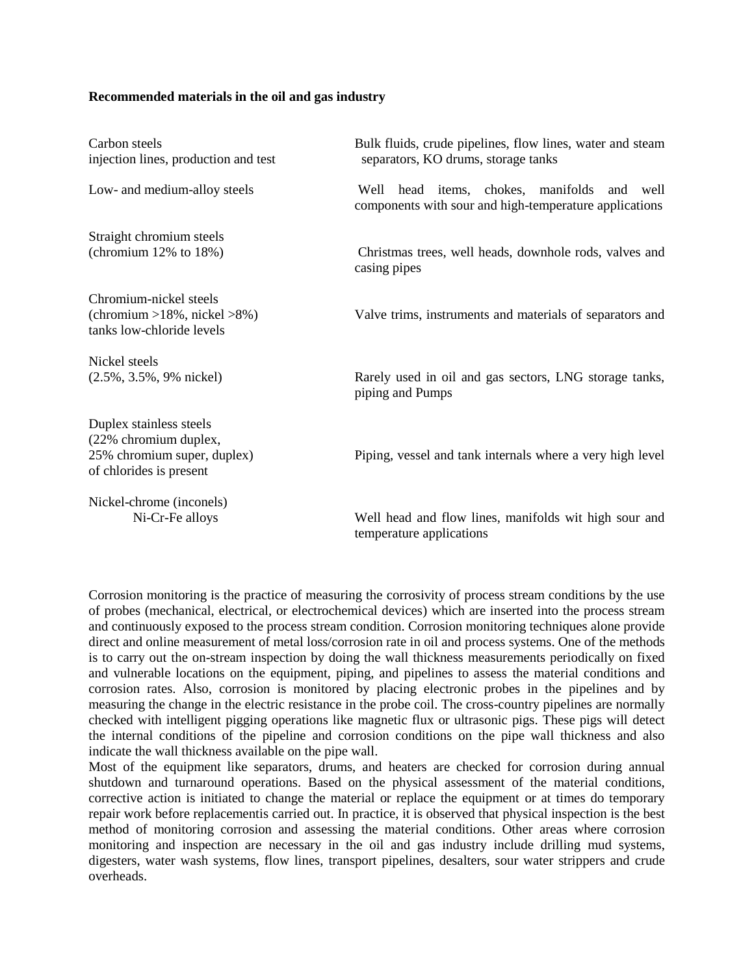#### **Recommended materials in the oil and gas industry**

Straight chromium steels<br>(chromium 12% to 18%)

Chromium-nickel steels tanks low-chloride levels

Nickel steels

Duplex stainless steels  $(22%$  chromium duplex,<br> $25%$  chromium super, duplex) of chlorides is present

Nickel-chrome (inconels)

Carbon steels **Bulk fluids**, crude pipelines, flow lines, water and steam injection lines, production and test separators, KO drums, storage tanks

Low- and medium-alloy steels Well head items, chokes, manifolds and well components with sour and high-temperature applications

> Christmas trees, well heads, downhole rods, valves and casing pipes

(chromium >18%, nickel >8%) Valve trims, instruments and materials of separators and

(2.5%, 3.5%, 9% nickel) Rarely used in oil and gas sectors, LNG storage tanks, piping and Pumps

Piping, vessel and tank internals where a very high level

Ni-Cr-Fe alloys Well head and flow lines, manifolds wit high sour and temperature applications

Corrosion monitoring is the practice of measuring the corrosivity of process stream conditions by the use of probes (mechanical, electrical, or electrochemical devices) which are inserted into the process stream and continuously exposed to the process stream condition. Corrosion monitoring techniques alone provide direct and online measurement of metal loss/corrosion rate in oil and process systems. One of the methods is to carry out the on-stream inspection by doing the wall thickness measurements periodically on fixed and vulnerable locations on the equipment, piping, and pipelines to assess the material conditions and corrosion rates. Also, corrosion is monitored by placing electronic probes in the pipelines and by measuring the change in the electric resistance in the probe coil. The cross-country pipelines are normally checked with intelligent pigging operations like magnetic flux or ultrasonic pigs. These pigs will detect the internal conditions of the pipeline and corrosion conditions on the pipe wall thickness and also indicate the wall thickness available on the pipe wall.

Most of the equipment like separators, drums, and heaters are checked for corrosion during annual shutdown and turnaround operations. Based on the physical assessment of the material conditions, corrective action is initiated to change the material or replace the equipment or at times do temporary repair work before replacementis carried out. In practice, it is observed that physical inspection is the best method of monitoring corrosion and assessing the material conditions. Other areas where corrosion monitoring and inspection are necessary in the oil and gas industry include drilling mud systems, digesters, water wash systems, flow lines, transport pipelines, desalters, sour water strippers and crude overheads.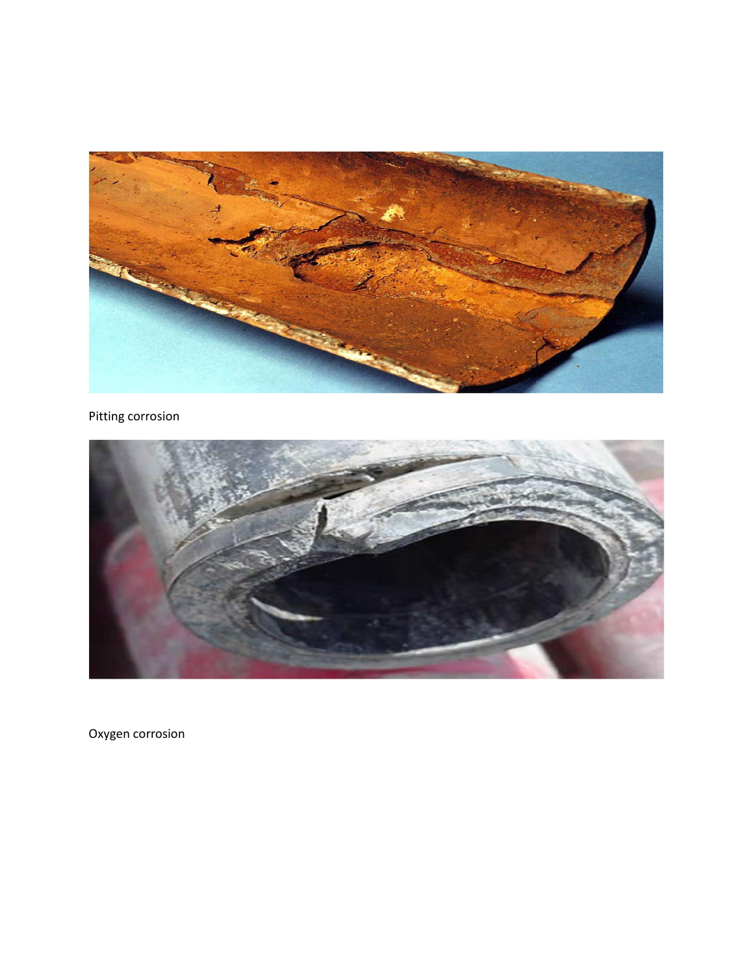

# Pitting corrosion



Oxygen corrosion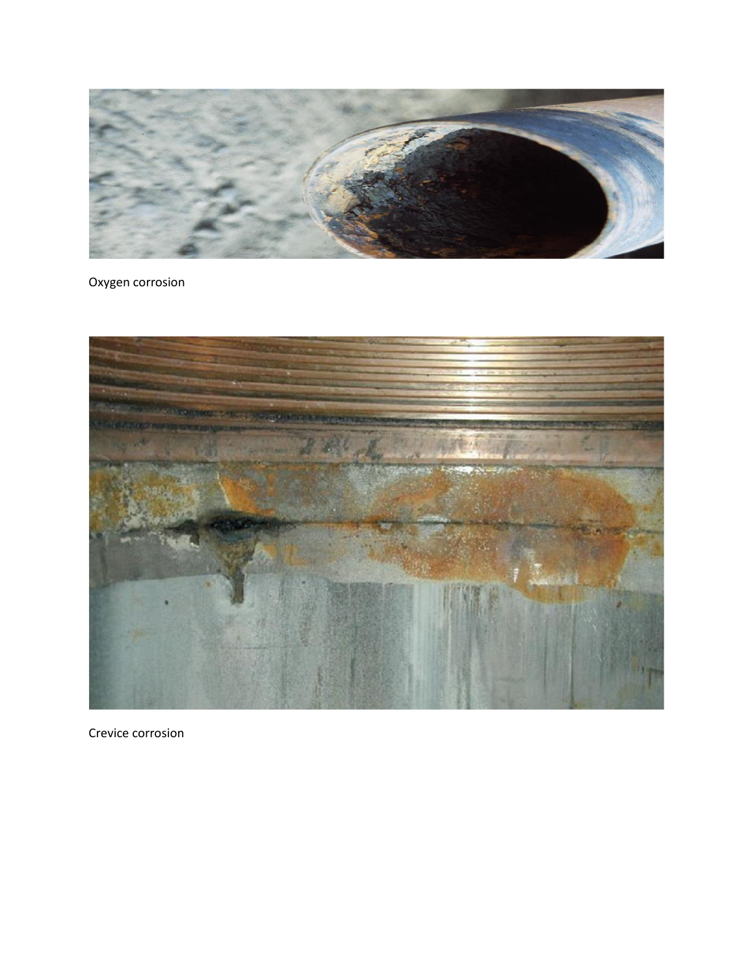

Oxygen corrosion



Crevice corrosion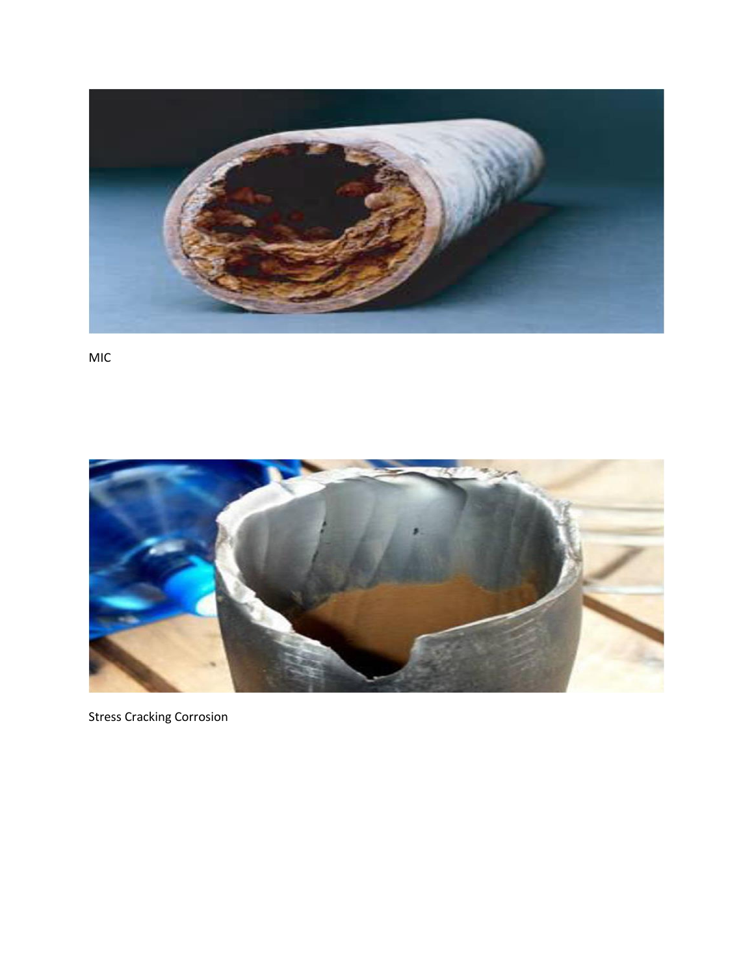

MIC



Stress Cracking Corrosion